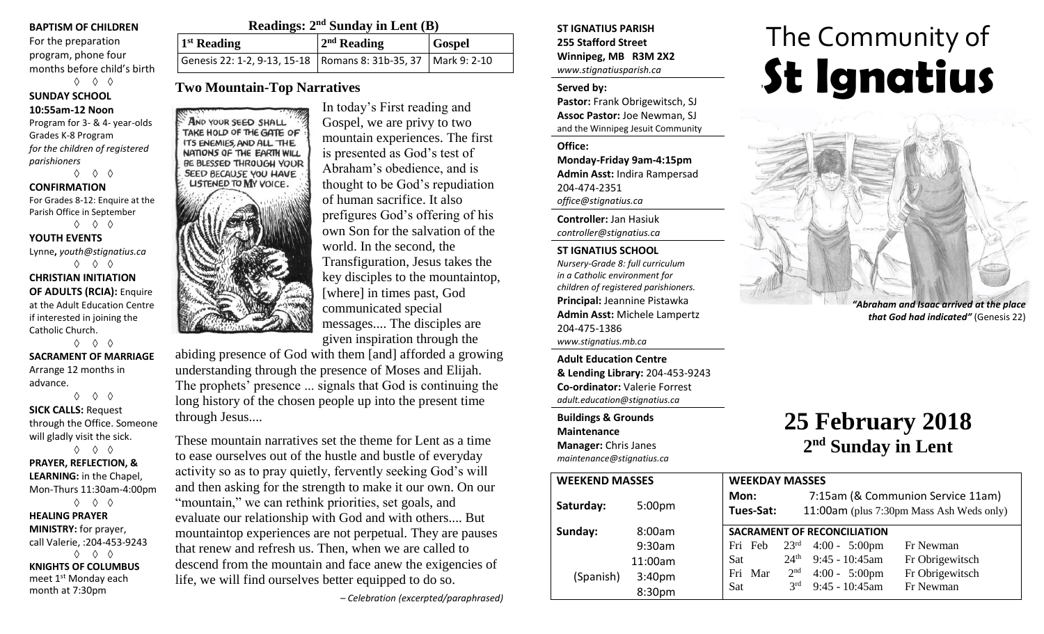### **BAPTISM OF CHILDREN**

For the preparation program, phone four months before child's birth ◊ ◊ ◊

**SUNDAY SCHOOL**

### **10:55am-12 Noon**

Program for 3- & 4- year-olds Grades K-8 Program *for the children of registered parishioners*

◊ ◊ ◊

#### **CONFIRMATION** For Grades 8-12: Enquire at the Parish Office in September ◊ ◊ ◊

**YOUTH EVENTS** Lynne**,** *youth@stignatius.ca* ◊ ◊ ◊

**CHRISTIAN INITIATION OF ADULTS (RCIA):** Enquire at the Adult Education Centre if interested in joining the Catholic Church. ◊ ◊ ◊

**SACRAMENT OF MARRIAGE** Arrange 12 months in advance.

◊ ◊ ◊ **SICK CALLS:** Request through the Office. Someone will gladly visit the sick. ◊ ◊ ◊

## **PRAYER, REFLECTION, & LEARNING:** in the Chapel, Mon-Thurs 11:30am-4:00pm ◊ ◊ ◊ **HEALING PRAYER**

**MINISTRY:** for prayer, call Valerie, :204-453-9243 ◊ ◊ ◊ **KNIGHTS OF COLUMBUS** meet 1st Monday each month at 7:30pm

|                                                                    | Readings: $2nd$ Sunday in Lent (B) |               |  |
|--------------------------------------------------------------------|------------------------------------|---------------|--|
| $1st$ Reading                                                      | $2nd$ Reading                      | <b>Gospel</b> |  |
| Genesis 22: 1-2, 9-13, 15-18   Romans 8: 31b-35, 37   Mark 9: 2-10 |                                    |               |  |

## **Two Mountain-Top Narratives**

AND YOUR SEED SHALL TAKE HOLD OF THE GATE OF ITS ENEMIES, AND ALL THE NATIONS OF THE EARTH WILL BE BLESSED THROUGH YOUR SEED BECAUSE YOU HAVE **LISTENED TO MY VOICE.** 



In today's First reading and Gospel, we are privy to two mountain experiences. The first is presented as God's test of Abraham's obedience, and is thought to be God's repudiation of human sacrifice. It also prefigures God's offering of his own Son for the salvation of the world. In the second, the Transfiguration, Jesus takes the key disciples to the mountaintop, [where] in times past, God communicated special messages.... The disciples are given inspiration through the

abiding presence of God with them [and] afforded a growing understanding through the presence of Moses and Elijah. The prophets' presence ... signals that God is continuing the long history of the chosen people up into the present time through Jesus....

These mountain narratives set the theme for Lent as a time to ease ourselves out of the hustle and bustle of everyday activity so as to pray quietly, fervently seeking God's will and then asking for the strength to make it our own. On our "mountain," we can rethink priorities, set goals, and evaluate our relationship with God and with others.... But mountaintop experiences are not perpetual. They are pauses that renew and refresh us. Then, when we are called to descend from the mountain and face anew the exigencies of life, we will find ourselves better equipped to do so.

*– Celebration (excerpted/paraphrased)*

**ST IGNATIUS PARISH 255 Stafford Street Winnipeg, MB R3M 2X2** *www.stignatiusparish.ca*

### **Served by:**

**Pastor:** Frank Obrigewitsch, SJ **Assoc Pastor:** Joe Newman, SJ and the Winnipeg Jesuit Community

**Office: Monday-Friday 9am-4:15pm Admin Asst:** Indira Rampersad 204-474-2351 *office@stignatius.ca*

**Controller:** Jan Hasiuk *controller@stignatius.ca*

### **ST IGNATIUS SCHOOL**

*Nursery-Grade 8: full curriculum in a Catholic environment for children of registered parishioners.* **Principal:** Jeannine Pistawka **Admin Asst:** Michele Lampertz 204-475-1386 *www.stignatius.mb.ca*

**Adult Education Centre & Lending Library:** 204-453-9243 **Co-ordinator:** Valerie Forrest *adult.education@stignatius.ca*

**Buildings & Grounds Maintenance Manager:** Chris Janes *maintenance@stignatius.ca*

| <b>WEEKEND MASSES</b> |                    | <b>WEEKDAY MASSES</b> |                  |                                    |                                                                               |  |
|-----------------------|--------------------|-----------------------|------------------|------------------------------------|-------------------------------------------------------------------------------|--|
| Saturday:             | 5:00 <sub>pm</sub> | Mon:<br>Tues-Sat:     |                  |                                    | 7:15am (& Communion Service 11am)<br>11:00am (plus 7:30pm Mass Ash Weds only) |  |
| Sunday:               | 8:00am             |                       |                  | <b>SACRAMENT OF RECONCILIATION</b> |                                                                               |  |
|                       | 9:30am             | Fri Feb $23rd$        |                  | $4:00 - 5:00 \text{pm}$            | Fr Newman                                                                     |  |
|                       | 11:00am            | Sat                   | $24^{\text{th}}$ | $9:45 - 10:45$ am                  | Fr Obrigewitsch                                                               |  |
| (Spanish)             | 3:40pm             | Fri Mar               | 2 <sup>nd</sup>  | $4:00 - 5:00 \text{pm}$            | Fr Obrigewitsch                                                               |  |
|                       | 8:30pm             | Sat                   | $2^{rd}$         | $9:45 - 10:45$ am                  | Fr Newman                                                                     |  |

# The Community of '**St Ignatius**



**25 February 2018**

**2 nd Sunday in Lent**

*"Abraham and Isaac arrived at the place that God had indicated"* (Genesis 22)